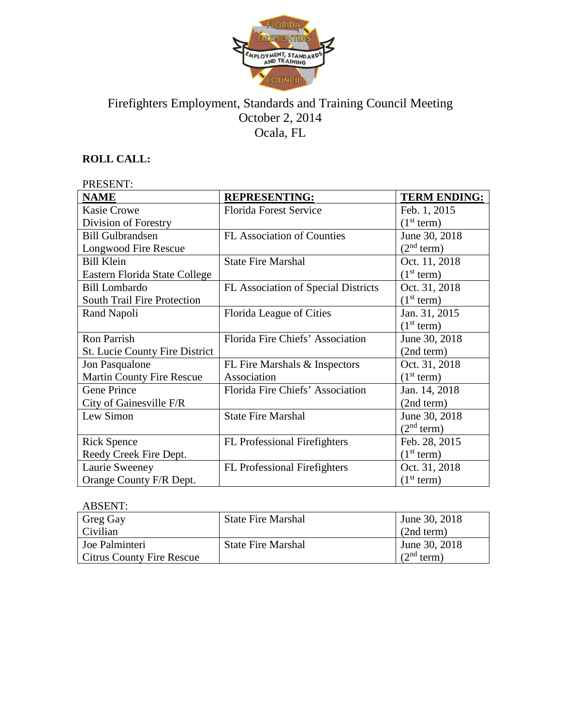

# Firefighters Employment, Standards and Training Council Meeting October 2, 2014 Ocala, FL

## **ROLL CALL:**

| PRESENT:                              |                                     |                        |  |
|---------------------------------------|-------------------------------------|------------------------|--|
| <b>NAME</b>                           | <b>REPRESENTING:</b>                | <b>TERM ENDING:</b>    |  |
| <b>Kasie Crowe</b>                    | <b>Florida Forest Service</b>       | Feb. 1, 2015           |  |
| Division of Forestry                  |                                     | (1 <sup>st</sup> term) |  |
| <b>Bill Gulbrandsen</b>               | <b>FL Association of Counties</b>   | June 30, 2018          |  |
| Longwood Fire Rescue                  |                                     | (2 <sup>nd</sup> term) |  |
| <b>Bill Klein</b>                     | <b>State Fire Marshal</b>           | Oct. 11, 2018          |  |
| Eastern Florida State College         |                                     | (1 <sup>st</sup> term) |  |
| Bill Lombardo                         | FL Association of Special Districts | Oct. 31, 2018          |  |
| <b>South Trail Fire Protection</b>    |                                     | (1 <sup>st</sup> term) |  |
| Rand Napoli                           | Florida League of Cities            | Jan. 31, 2015          |  |
|                                       |                                     | (1 <sup>st</sup> term) |  |
| <b>Ron Parrish</b>                    | Florida Fire Chiefs' Association    | June 30, 2018          |  |
| <b>St. Lucie County Fire District</b> |                                     | (2nd term)             |  |
| Jon Pasqualone                        | FL Fire Marshals & Inspectors       | Oct. 31, 2018          |  |
| <b>Martin County Fire Rescue</b>      | Association                         | (1 <sup>st</sup> term) |  |
| <b>Gene Prince</b>                    | Florida Fire Chiefs' Association    | Jan. 14, 2018          |  |
| City of Gainesville F/R               |                                     | (2nd term)             |  |
| Lew Simon                             | <b>State Fire Marshal</b>           | June 30, 2018          |  |
|                                       |                                     | (2 <sup>nd</sup> term) |  |
| <b>Rick Spence</b>                    | <b>FL</b> Professional Firefighters | Feb. 28, 2015          |  |
| Reedy Creek Fire Dept.                |                                     | (1 <sup>st</sup> term) |  |
| Laurie Sweeney                        | <b>FL Professional Firefighters</b> | Oct. 31, 2018          |  |
| Orange County F/R Dept.               |                                     | (1 <sup>st</sup> term) |  |

## ABSENT:

| Greg Gay                         | <b>State Fire Marshal</b> | June 30, 2018          |
|----------------------------------|---------------------------|------------------------|
| Civilian                         |                           | (2nd term)             |
| Joe Palminteri                   | <b>State Fire Marshal</b> | June 30, 2018          |
| <b>Citrus County Fire Rescue</b> |                           | (2 <sup>nd</sup> term) |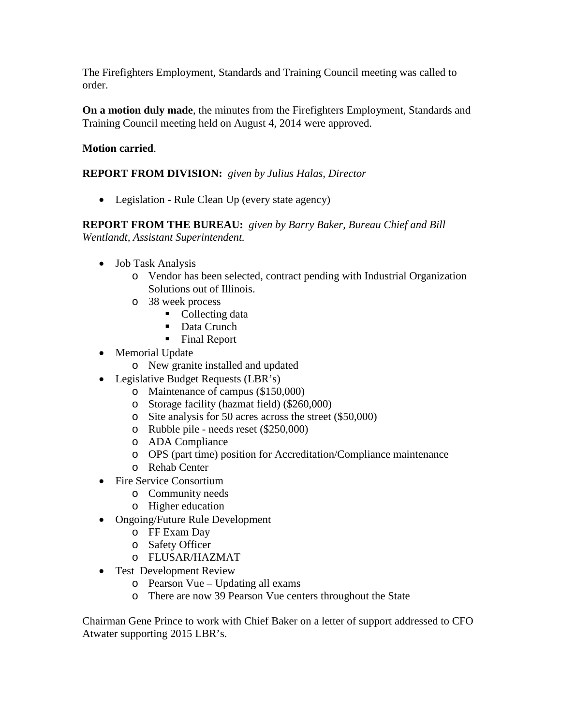The Firefighters Employment, Standards and Training Council meeting was called to order.

**On a motion duly made**, the minutes from the Firefighters Employment, Standards and Training Council meeting held on August 4, 2014 were approved.

### **Motion carried**.

## **REPORT FROM DIVISION:** *given by Julius Halas, Director*

• Legislation - Rule Clean Up (every state agency)

**REPORT FROM THE BUREAU:** *given by Barry Baker, Bureau Chief and Bill Wentlandt, Assistant Superintendent.*

- Job Task Analysis
	- o Vendor has been selected, contract pending with Industrial Organization Solutions out of Illinois.
	- o 38 week process
		- Collecting data
		- Data Crunch
		- Final Report
- Memorial Update
	- o New granite installed and updated
- Legislative Budget Requests (LBR's)
	- o Maintenance of campus (\$150,000)
	- o Storage facility (hazmat field) (\$260,000)
	- o Site analysis for 50 acres across the street (\$50,000)
	- o Rubble pile needs reset (\$250,000)
	- o ADA Compliance
	- o OPS (part time) position for Accreditation/Compliance maintenance
	- o Rehab Center
- Fire Service Consortium
	- o Community needs
	- o Higher education
- Ongoing/Future Rule Development
	- o FF Exam Day
	- o Safety Officer
	- o FLUSAR/HAZMAT
- Test Development Review
	- o Pearson Vue Updating all exams
	- o There are now 39 Pearson Vue centers throughout the State

Chairman Gene Prince to work with Chief Baker on a letter of support addressed to CFO Atwater supporting 2015 LBR's.